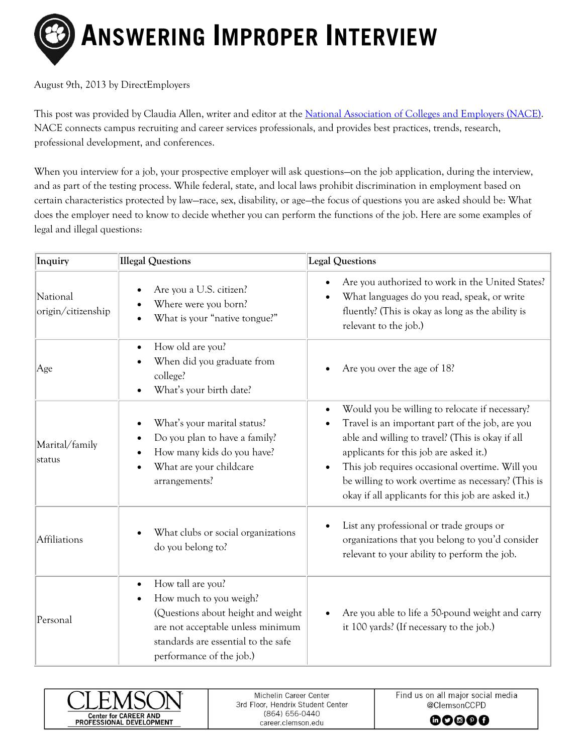

August 9th, 2013 by DirectEmployers

This post was provided by Claudia Allen, writer and editor at the [National Association of Colleges and Employers \(NACE\).](http://www.naceweb.org/home.aspx) NACE connects campus recruiting and career services professionals, and provides best practices, trends, research, professional development, and conferences.

When you interview for a job, your prospective employer will ask questions—on the job application, during the interview, and as part of the testing process. While federal, state, and local laws prohibit discrimination in employment based on certain characteristics protected by law—race, sex, disability, or age—the focus of questions you are asked should be: What does the employer need to know to decide whether you can perform the functions of the job. Here are some examples of legal and illegal questions:

| Inquiry                        | <b>Illegal Questions</b>                                                                                                                                                                                            | <b>Legal Questions</b>                                                                                                                                                                                                                                                                                                                                                                   |
|--------------------------------|---------------------------------------------------------------------------------------------------------------------------------------------------------------------------------------------------------------------|------------------------------------------------------------------------------------------------------------------------------------------------------------------------------------------------------------------------------------------------------------------------------------------------------------------------------------------------------------------------------------------|
| National<br>origin/citizenship | Are you a U.S. citizen?<br>$\bullet$<br>Where were you born?<br>What is your "native tongue?"                                                                                                                       | Are you authorized to work in the United States?<br>$\bullet$<br>What languages do you read, speak, or write<br>$\bullet$<br>fluently? (This is okay as long as the ability is<br>relevant to the job.)                                                                                                                                                                                  |
| Age                            | How old are you?<br>$\bullet$<br>When did you graduate from<br>college?<br>What's your birth date?                                                                                                                  | Are you over the age of 18?                                                                                                                                                                                                                                                                                                                                                              |
| Marital/family<br>status       | What's your marital status?<br>Do you plan to have a family?<br>$\bullet$<br>How many kids do you have?<br>$\bullet$<br>What are your childcare<br>arrangements?                                                    | Would you be willing to relocate if necessary?<br>$\bullet$<br>Travel is an important part of the job, are you<br>able and willing to travel? (This is okay if all<br>applicants for this job are asked it.)<br>This job requires occasional overtime. Will you<br>$\bullet$<br>be willing to work overtime as necessary? (This is<br>okay if all applicants for this job are asked it.) |
| Affiliations                   | What clubs or social organizations<br>do you belong to?                                                                                                                                                             | List any professional or trade groups or<br>organizations that you belong to you'd consider<br>relevant to your ability to perform the job.                                                                                                                                                                                                                                              |
| Personal                       | How tall are you?<br>$\bullet$<br>How much to you weigh?<br>$\bullet$<br>(Questions about height and weight<br>are not acceptable unless minimum<br>standards are essential to the safe<br>performance of the job.) | Are you able to life a 50-pound weight and carry<br>it 100 yards? (If necessary to the job.)                                                                                                                                                                                                                                                                                             |



Michelin Career Center 3rd Floor, Hendrix Student Center (864) 656-0440 career.clemson.edu

Find us on all major social media @ClemsonCCPD